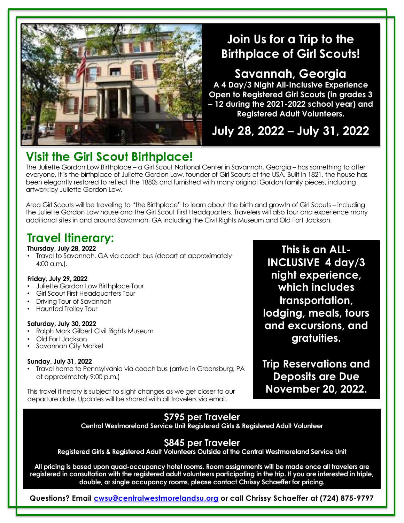

## **Join Us for a Trip to the Birthplace of Girl Scouts!**

**Savannah, Georgia A 4 Day/3 Night All-Inclusive Experience Open to Registered Girl Scouts (in grades 3 – 12 during the 2021-2022 school year) and Registered Adult Volunteers.** 

**July 28, 2022 – July 31, 2022**

# **Visit the Girl Scout Birthplace!**

The Juliette Gordon Low Birthplace – a Girl Scout National Center in Savannah, Georgia – has something to offer everyone. It is the birthplace of Juliette Gordon Low, founder of Girl Scouts of the USA. Built in 1821, the house has been elegantly restored to reflect the 1880s and furnished with many original Gordon family pieces, including artwork by Juliette Gordon Low.

Area Girl Scouts will be traveling to "the Birthplace" to learn about the birth and growth of Girl Scouts – including the Juliette Gordon Low house and the Girl Scout First Headquarters. Travelers will also tour and experience many additional sites in and around Savannah, GA including the Civil Rights Museum and Old Fort Jackson.

## **Travel Itinerary:**

### **Thursday, July 28, 2022**

• Travel to Savannah, GA via coach bus (depart at approximately 4:00 a.m.).

### **Friday, July 29, 2022**

- Juliette Gordon Low Birthplace Tour
- Girl Scout First Headquarters Tour
- Driving Tour of Savannah
- Haunted Trolley Tour

### **Saturday, July 30, 2022**

- Ralph Mark Gilbert Civil Rights Museum
- Old Fort Jackson
- Savannah City Market

### **Sunday, July 31, 2022**

• Travel home to Pennsylvania via coach bus (arrive in Greensburg, PA at approximately 9:00 p.m.)

This travel itinerary is subject to slight changes as we get closer to our departure date. Updates will be shared with all travelers via email.

**This is an ALL-INCLUSIVE 4 day/3 night experience, which includes transportation, lodging, meals, tours and excursions, and gratuities.**

**Trip Reservations and Deposits are Due November 20, 2022.**

## **\$795 per Traveler**

**Central Westmoreland Service Unit Registered Girls & Registered Adult Volunteer**

## **\$845 per Traveler**

**Registered Girls & Registered Adult Volunteers Outside of the Central Westmoreland Service Unit**

**All pricing is based upon quad-occupancy hotel rooms. Room assignments will be made once all travelers are registered in consultation with the registered adult volunteers participating in the trip. If you are interested in triple, double, or single occupancy rooms, please contact Chrissy Schaeffer for pricing.**

**Questions? Email [cwsu@centralwestmorelandsu.org](mailto:cwsu@centralwestmorelandsu.org) or call Chrissy Schaeffer at (724) 875-9797**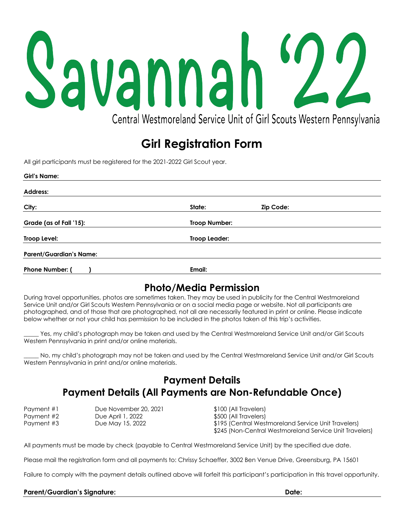# Savannah " Central Westmoreland Service Unit of Girl Scouts Western Pennsylvania

# **Girl Registration Form**

All girl participants must be registered for the 2021-2022 Girl Scout year.

| <b>Girl's Name:</b>            |               |           |  |  |
|--------------------------------|---------------|-----------|--|--|
| <b>Address:</b>                |               |           |  |  |
| City:                          | State:        | Zip Code: |  |  |
| Grade (as of Fall '15):        | Troop Number: |           |  |  |
| Troop Level:                   | Troop Leader: |           |  |  |
| <b>Parent/Guardian's Name:</b> |               |           |  |  |
| Phone Number: (                | Email:        |           |  |  |

## **Photo/Media Permission**

During travel opportunities, photos are sometimes taken. They may be used in publicity for the Central Westmoreland Service Unit and/or Girl Scouts Western Pennsylvania or on a social media page or website. Not all participants are photographed, and of those that are photographed, not all are necessarily featured in print or online. Please indicate below whether or not your child has permission to be included in the photos taken of this trip's activities.

Yes, my child's photograph may be taken and used by the Central Westmoreland Service Unit and/or Girl Scouts Western Pennsylvania in print and/or online materials.

No, my child's photograph may not be taken and used by the Central Westmoreland Service Unit and/or Girl Scouts Western Pennsylvania in print and/or online materials.

## **Payment Details Payment Details (All Payments are Non-Refundable Once)**

| Payment #1 | Due November 20, 2 |
|------------|--------------------|
| Payment #2 | Due April 1, 2022  |
| Payment #3 | Due May 15, 2022   |

Payment 100 (All Travelers) \$500 (All Travelers) \$195 (Central Westmoreland Service Unit Travelers) \$245 (Non-Central Westmoreland Service Unit Travelers)

All payments must be made by check (payable to Central Westmoreland Service Unit) by the specified due date.

Please mail the registration form and all payments to: Chrissy Schaeffer, 3002 Ben Venue Drive, Greensburg, PA 15601

Failure to comply with the payment details outlined above will forfeit this participant's participation in this travel opportunity.

#### **Parent/Guardian's Signature: Date:**